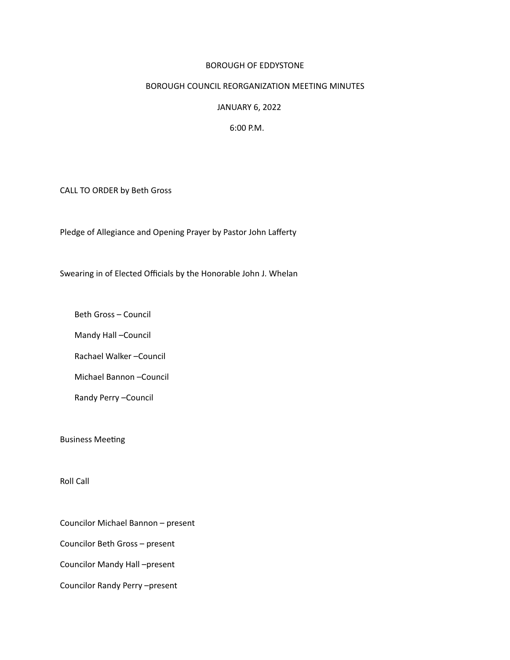### BOROUGH OF EDDYSTONE

## BOROUGH COUNCIL REORGANIZATION MEETING MINUTES

### JANUARY 6, 2022

#### 6:00 P.M.

CALL TO ORDER by Beth Gross

Pledge of Allegiance and Opening Prayer by Pastor John Lafferty

Swearing in of Elected Officials by the Honorable John J. Whelan

 Beth Gross – Council

 Mandy Hall –Council

 Rachael Walker –Council

 Michael Bannon –Council

 Randy Perry –Council 

**Business Meeting** 

Roll Call

Councilor Michael Bannon – present

Councilor Beth Gross – present

Councilor Mandy Hall –present

Councilor Randy Perry –present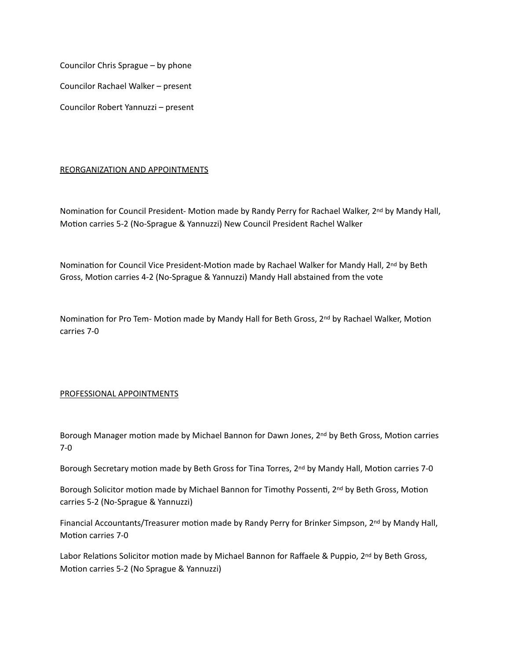Councilor Chris Sprague – by phone

Councilor Rachael Walker – present

Councilor Robert Yannuzzi – present

## REORGANIZATION AND APPOINTMENTS

Nomination for Council President- Motion made by Randy Perry for Rachael Walker, 2<sup>nd</sup> by Mandy Hall, Motion carries 5-2 (No-Sprague & Yannuzzi) New Council President Rachel Walker

Nomination for Council Vice President-Motion made by Rachael Walker for Mandy Hall, 2<sup>nd</sup> by Beth Gross, Motion carries 4-2 (No-Sprague & Yannuzzi) Mandy Hall abstained from the vote

Nomination for Pro Tem- Motion made by Mandy Hall for Beth Gross,  $2^{nd}$  by Rachael Walker, Motion carries 7-0

# PROFESSIONAL APPOINTMENTS

Borough Manager motion made by Michael Bannon for Dawn Jones, 2<sup>nd</sup> by Beth Gross, Motion carries 7-0

Borough Secretary motion made by Beth Gross for Tina Torres, 2<sup>nd</sup> by Mandy Hall, Motion carries 7-0

Borough Solicitor motion made by Michael Bannon for Timothy Possenti, 2nd by Beth Gross, Motion carries 5-2 (No-Sprague & Yannuzzi)

Financial Accountants/Treasurer motion made by Randy Perry for Brinker Simpson, 2<sup>nd</sup> by Mandy Hall, Motion carries 7-0

Labor Relations Solicitor motion made by Michael Bannon for Raffaele & Puppio, 2<sup>nd</sup> by Beth Gross, Motion carries 5-2 (No Sprague & Yannuzzi)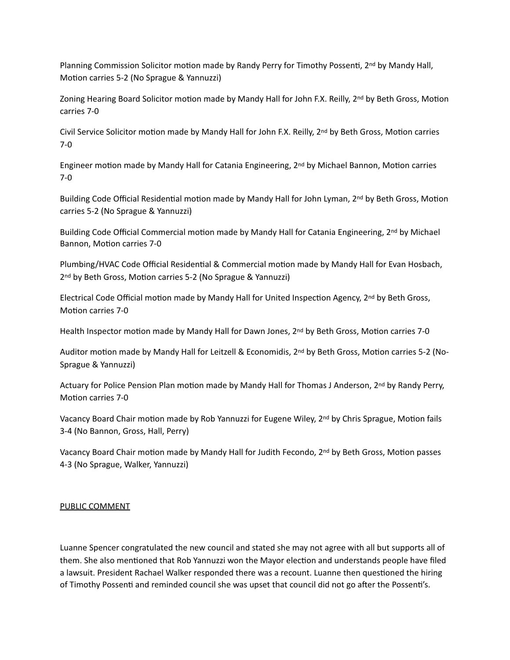Planning Commission Solicitor motion made by Randy Perry for Timothy Possenti, 2<sup>nd</sup> by Mandy Hall, Motion carries 5-2 (No Sprague & Yannuzzi)

Zoning Hearing Board Solicitor motion made by Mandy Hall for John F.X. Reilly, 2<sup>nd</sup> by Beth Gross, Motion carries 7-0

Civil Service Solicitor motion made by Mandy Hall for John F.X. Reilly, 2<sup>nd</sup> by Beth Gross, Motion carries 7-0

Engineer motion made by Mandy Hall for Catania Engineering, 2<sup>nd</sup> by Michael Bannon, Motion carries 7-0

Building Code Official Residential motion made by Mandy Hall for John Lyman, 2<sup>nd</sup> by Beth Gross, Motion carries 5-2 (No Sprague & Yannuzzi)

Building Code Official Commercial motion made by Mandy Hall for Catania Engineering, 2<sup>nd</sup> by Michael Bannon, Motion carries 7-0

Plumbing/HVAC Code Official Residential & Commercial motion made by Mandy Hall for Evan Hosbach, 2<sup>nd</sup> by Beth Gross, Motion carries 5-2 (No Sprague & Yannuzzi)

Electrical Code Official motion made by Mandy Hall for United Inspection Agency, 2<sup>nd</sup> by Beth Gross, Motion carries 7-0

Health Inspector motion made by Mandy Hall for Dawn Jones, 2<sup>nd</sup> by Beth Gross, Motion carries 7-0

Auditor motion made by Mandy Hall for Leitzell & Economidis, 2<sup>nd</sup> by Beth Gross, Motion carries 5-2 (No-Sprague & Yannuzzi)

Actuary for Police Pension Plan motion made by Mandy Hall for Thomas J Anderson, 2<sup>nd</sup> by Randy Perry, Motion carries 7-0

Vacancy Board Chair motion made by Rob Yannuzzi for Eugene Wiley, 2<sup>nd</sup> by Chris Sprague, Motion fails 3-4 (No Bannon, Gross, Hall, Perry)

Vacancy Board Chair motion made by Mandy Hall for Judith Fecondo, 2<sup>nd</sup> by Beth Gross, Motion passes 4-3 (No Sprague, Walker, Yannuzzi)

# PUBLIC COMMENT

Luanne Spencer congratulated the new council and stated she may not agree with all but supports all of them. She also mentioned that Rob Yannuzzi won the Mayor election and understands people have filed a lawsuit. President Rachael Walker responded there was a recount. Luanne then questoned the hiring of Timothy Possenti and reminded council she was upset that council did not go after the Possenti's.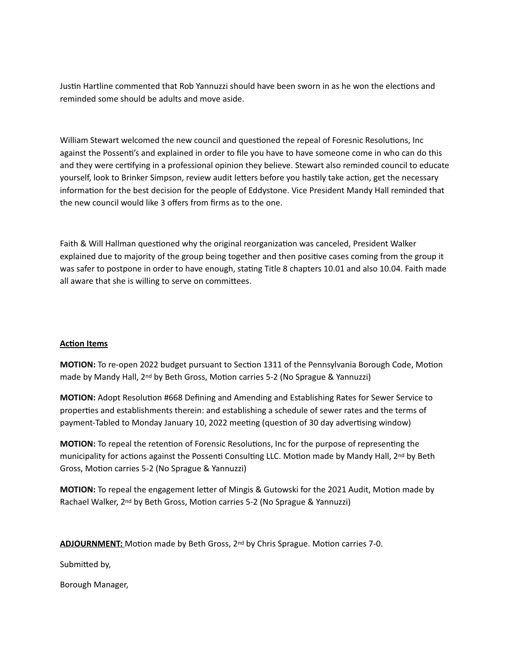Justn Hartline commented that Rob Yannuzzi should have been sworn in as he won the electons and reminded some should be adults and move aside.

William Stewart welcomed the new council and questoned the repeal of Foresnic Resolutons, Inc against the Possenti's and explained in order to file you have to have someone come in who can do this and they were certfying in a professional opinion they believe. Stewart also reminded council to educate yourself, look to Brinker Simpson, review audit letters before you hastily take action, get the necessary information for the best decision for the people of Eddystone. Vice President Mandy Hall reminded that the new council would like 3 offers from firms as to the one.

Faith & Will Hallman questioned why the original reorganization was canceled, President Walker explained due to majority of the group being together and then positve cases coming from the group it was safer to postpone in order to have enough, stating Title 8 chapters 10.01 and also 10.04. Faith made all aware that she is willing to serve on commitees.

# **Acton Items**

**MOTION:** To re-open 2022 budget pursuant to Section 1311 of the Pennsylvania Borough Code, Motion made by Mandy Hall, 2<sup>nd</sup> by Beth Gross, Motion carries 5-2 (No Sprague & Yannuzzi)

**MOTION:** Adopt Resoluton #668 Defining and Amending and Establishing Rates for Sewer Service to propertes and establishments therein: and establishing a schedule of sewer rates and the terms of payment-Tabled to Monday January 10, 2022 meetng (queston of 30 day advertsing window)

**MOTION:** To repeal the retention of Forensic Resolutions, Inc for the purpose of representing the municipality for actions against the Possenti Consulting LLC. Motion made by Mandy Hall, 2<sup>nd</sup> by Beth Gross, Motion carries 5-2 (No Sprague & Yannuzzi)

**MOTION:** To repeal the engagement letter of Mingis & Gutowski for the 2021 Audit, Motion made by Rachael Walker, 2<sup>nd</sup> by Beth Gross, Motion carries 5-2 (No Sprague & Yannuzzi)

ADJOURNMENT: Motion made by Beth Gross, 2<sup>nd</sup> by Chris Sprague. Motion carries 7-0.

Submited by, 

Borough Manager,